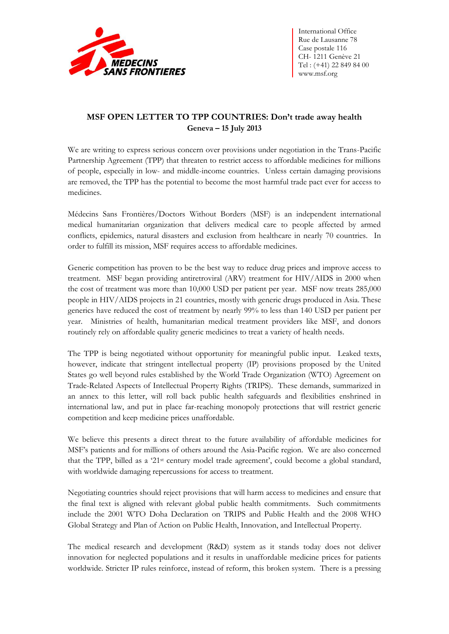

International Office Rue de Lausanne 78 Case postale 116 CH- 1211 Genève 21 Tel : (+41) 22 849 84 00 www.msf.org

## **MSF OPEN LETTER TO TPP COUNTRIES: Don't trade away health Geneva ² 15 July 2013**

We are writing to express serious concern over provisions under negotiation in the Trans-Pacific Partnership Agreement (TPP) that threaten to restrict access to affordable medicines for millions of people, especially in low- and middle-income countries. Unless certain damaging provisions are removed, the TPP has the potential to become the most harmful trade pact ever for access to medicines.

Médecins Sans Frontières/Doctors Without Borders (MSF) is an independent international medical humanitarian organization that delivers medical care to people affected by armed conflicts, epidemics, natural disasters and exclusion from healthcare in nearly 70 countries. In order to fulfill its mission, MSF requires access to affordable medicines.

Generic competition has proven to be the best way to reduce drug prices and improve access to treatment. MSF began providing antiretroviral (ARV) treatment for HIV/AIDS in 2000 when the cost of treatment was more than 10,000 USD per patient per year. MSF now treats 285,000 people in HIV/AIDS projects in 21 countries, mostly with generic drugs produced in Asia. These generics have reduced the cost of treatment by nearly 99% to less than 140 USD per patient per year. Ministries of health, humanitarian medical treatment providers like MSF, and donors routinely rely on affordable quality generic medicines to treat a variety of health needs.

The TPP is being negotiated without opportunity for meaningful public input. Leaked texts, however, indicate that stringent intellectual property (IP) provisions proposed by the United States go well beyond rules established by the World Trade Organization (WTO) Agreement on Trade-Related Aspects of Intellectual Property Rights (TRIPS). These demands, summarized in an annex to this letter, will roll back public health safeguards and flexibilities enshrined in international law, and put in place far-reaching monopoly protections that will restrict generic competition and keep medicine prices unaffordable.

We believe this presents a direct threat to the future availability of affordable medicines for MSF's patients and for millions of others around the Asia-Pacific region. We are also concerned that the TPP, billed as a '21<sup>st</sup> century model trade agreement', could become a global standard, with worldwide damaging repercussions for access to treatment.

Negotiating countries should reject provisions that will harm access to medicines and ensure that the final text is aligned with relevant global public health commitments. Such commitments include the 2001 WTO Doha Declaration on TRIPS and Public Health and the 2008 WHO Global Strategy and Plan of Action on Public Health, Innovation, and Intellectual Property.

The medical research and development (R&D) system as it stands today does not deliver innovation for neglected populations and it results in unaffordable medicine prices for patients worldwide. Stricter IP rules reinforce, instead of reform, this broken system. There is a pressing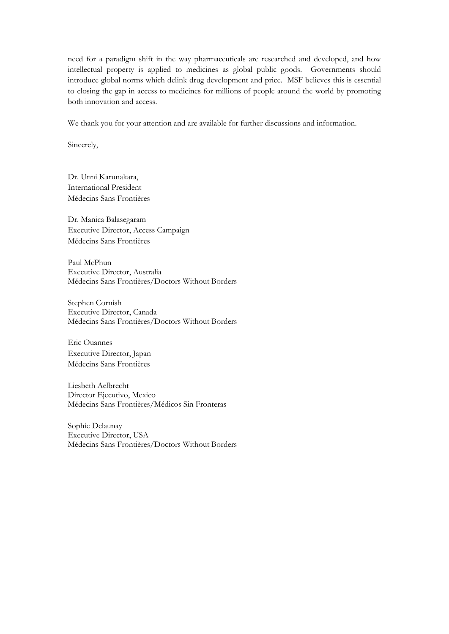need for a paradigm shift in the way pharmaceuticals are researched and developed, and how intellectual property is applied to medicines as global public goods. Governments should introduce global norms which delink drug development and price. MSF believes this is essential to closing the gap in access to medicines for millions of people around the world by promoting both innovation and access.

We thank you for your attention and are available for further discussions and information.

Sincerely,

Dr. Unni Karunakara, International President Médecins Sans Frontières

Dr. Manica Balasegaram Executive Director, Access Campaign Médecins Sans Frontières

Paul McPhun Executive Director, Australia Médecins Sans Frontières/Doctors Without Borders

Stephen Cornish Executive Director, Canada Médecins Sans Frontières/Doctors Without Borders

Eric Ouannes Executive Director, Japan Médecins Sans Frontières

Liesbeth Aelbrecht Director Ejecutivo, Mexico Médecins Sans Frontières/Médicos Sin Fronteras

Sophie Delaunay Executive Director, USA Médecins Sans Frontières/Doctors Without Borders